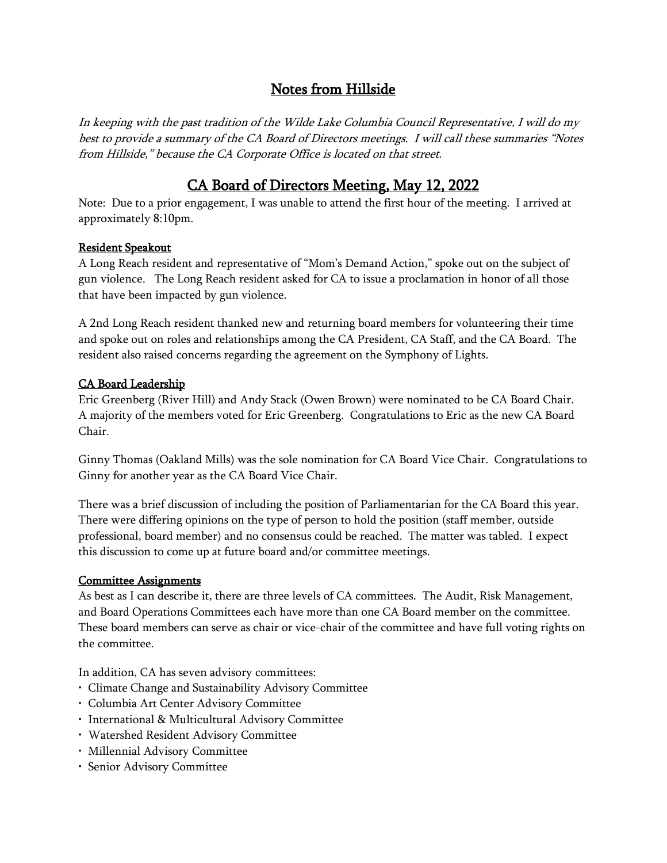# Notes from Hillside

In keeping with the past tradition of the Wilde Lake Columbia Council Representative, I will do my best to provide a summary of the CA Board of Directors meetings. I will call these summaries "Notes from Hillside," because the CA Corporate Office is located on that street.

## CA Board of Directors Meeting, May 12, 2022

Note: Due to a prior engagement, I was unable to attend the first hour of the meeting. I arrived at approximately 8:10pm.

#### Resident Speakout

A Long Reach resident and representative of "Mom's Demand Action," spoke out on the subject of gun violence. The Long Reach resident asked for CA to issue a proclamation in honor of all those that have been impacted by gun violence.

A 2nd Long Reach resident thanked new and returning board members for volunteering their time and spoke out on roles and relationships among the CA President, CA Staff, and the CA Board. The resident also raised concerns regarding the agreement on the Symphony of Lights.

## CA Board Leadership

Eric Greenberg (River Hill) and Andy Stack (Owen Brown) were nominated to be CA Board Chair. A majority of the members voted for Eric Greenberg. Congratulations to Eric as the new CA Board Chair.

Ginny Thomas (Oakland Mills) was the sole nomination for CA Board Vice Chair. Congratulations to Ginny for another year as the CA Board Vice Chair.

There was a brief discussion of including the position of Parliamentarian for the CA Board this year. There were differing opinions on the type of person to hold the position (staff member, outside professional, board member) and no consensus could be reached. The matter was tabled. I expect this discussion to come up at future board and/or committee meetings.

## Committee Assignments

As best as I can describe it, there are three levels of CA committees. The Audit, Risk Management, and Board Operations Committees each have more than one CA Board member on the committee. These board members can serve as chair or vice-chair of the committee and have full voting rights on the committee.

In addition, CA has seven advisory committees:

- Climate Change and Sustainability Advisory Committee
- Columbia Art Center Advisory Committee
- International & Multicultural Advisory Committee
- Watershed Resident Advisory Committee
- Millennial Advisory Committee
- Senior Advisory Committee